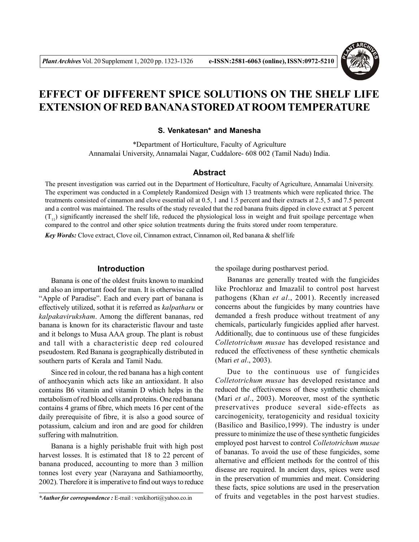

# **EFFECT OF DIFFERENT SPICE SOLUTIONS ON THE SHELF LIFE EXTENSION OF RED BANANA STORED AT ROOM TEMPERATURE**

#### **S. Venkatesan\* and Manesha**

\*Department of Horticulture, Faculty of Agriculture Annamalai University, Annamalai Nagar, Cuddalore- 608 002 (Tamil Nadu) India.

#### **Abstract**

The present investigation was carried out in the Department of Horticulture, Faculty of Agriculture, Annamalai University. The experiment was conducted in a Completely Randomized Design with 13 treatments which were replicated thrice. The treatments consisted of cinnamon and clove essential oil at 0.5, 1 and 1.5 percent and their extracts at 2.5, 5 and 7.5 percent and a control was maintained. The results of the study revealed that the red banana fruits dipped in clove extract at 5 percent  $(T_{11})$  significantly increased the shelf life, reduced the physiological loss in weight and fruit spoilage percentage when compared to the control and other spice solution treatments during the fruits stored under room temperature.

*Key Words:* Clove extract, Clove oil, Cinnamon extract, Cinnamon oil, Red banana & shelf life

## **Introduction**

Banana is one of the oldest fruits known to mankind and also an important food for man. It is otherwise called "Apple of Paradise". Each and every part of banana is effectively utilized, sothat it is referred as *kalpatharu* or *kalpakaviruksham*. Among the different bananas, red banana is known for its characteristic flavour and taste and it belongs to Musa AAA group. The plant is robust and tall with a characteristic deep red coloured pseudostem. Red Banana is geographically distributed in southern parts of Kerala and Tamil Nadu.

Since red in colour, the red banana has a high content of anthocyanin which acts like an antioxidant. It also contains B6 vitamin and vitamin D which helps in the metabolism of red blood cells and proteins. One red banana contains 4 grams of fibre, which meets 16 per cent of the daily prerequisite of fibre, it is also a good source of potassium, calcium and iron and are good for children suffering with malnutrition.

Banana is a highly perishable fruit with high post harvest losses. It is estimated that 18 to 22 percent of banana produced, accounting to more than 3 million tonnes lost every year (Narayana and Sathiamoorthy, 2002). Therefore it is imperative to find out ways to reduce

the spoilage during postharvest period.

Bananas are generally treated with the fungicides like Prochloraz and Imazalil to control post harvest pathogens (Khan *et al*., 2001). Recently increased concerns about the fungicides by many countries have demanded a fresh produce without treatment of any chemicals, particularly fungicides applied after harvest. Additionally, due to continuous use of these fungicides *Colletotrichum musae* has developed resistance and reduced the effectiveness of these synthetic chemicals (Mari *et al*., 2003).

Due to the continuous use of fungicides *Colletotrichum musae* has developed resistance and reduced the effectiveness of these synthetic chemicals (Mari *et al*., 2003). Moreover, most of the synthetic preservatives produce several side-effects as carcinogenicity, teratogenicity and residual toxicity (Basilico and Basilico,1999). The industry is under pressure to minimize the use of these synthetic fungicides employed post harvest to control *Colletotrichum musae* of bananas. To avoid the use of these fungicides, some alternative and efficient methods for the control of this disease are required. In ancient days, spices were used in the preservation of mummies and meat. Considering these facts, spice solutions are used in the preservation of fruits and vegetables in the post harvest studies.

*<sup>\*</sup>Author for correspondence :* E-mail : venkihorti@yahoo.co.in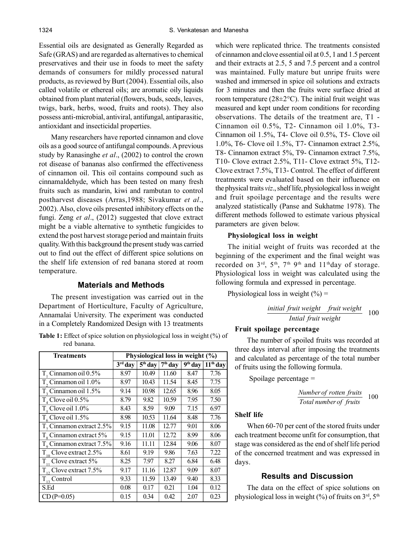Essential oils are designated as Generally Regarded as Safe (GRAS) and are regarded as alternatives to chemical preservatives and their use in foods to meet the safety demands of consumers for mildly processed natural products, as reviewed by Burt (2004). Essential oils, also called volatile or ethereal oils; are aromatic oily liquids obtained from plant material (flowers, buds, seeds, leaves, twigs, bark, herbs, wood, fruits and roots). They also possess anti-microbial, antiviral, antifungal, antiparasitic, antioxidant and insecticidal properties.

Many researchers have reported cinnamon and clove oils as a good source of antifungal compounds. A previous study by Ranasinghe *et al*., (2002) to control the crown rot disease of bananas also confirmed the effectiveness of cinnamon oil. This oil contains compound such as cinnamaldehyde, which has been tested on many fresh fruits such as mandarin, kiwi and rambutan to control postharvest diseases (Arras,1988; Sivakumar *et al*., 2002). Also, clove oils presented inhibitory effects on the fungi. Zeng *et al*., (2012) suggested that clove extract might be a viable alternative to synthetic fungicides to extend the post harvest storage period and maintain fruits quality. With this background the present study was carried out to find out the effect of different spice solutions on the shelf life extension of red banana stored at room temperature.

#### **Materials and Methods**

The present investigation was carried out in the Department of Horticulture, Faculty of Agriculture, Annamalai University. The experiment was conducted in a Completely Randomized Design with 13 treatments

| <b>Table 1:</b> Effect of spice solution on physiological loss in weight $(\%)$ of |  |  |
|------------------------------------------------------------------------------------|--|--|
| red banana.                                                                        |  |  |

| <b>Treatments</b>                  | Physiological loss in weight (%) |                                  |                                |                         |            |
|------------------------------------|----------------------------------|----------------------------------|--------------------------------|-------------------------|------------|
|                                    | $3rd$ day                        | $\overline{5}$ <sup>th</sup> day | $\overline{7}^{\text{th}}$ day | $\overline{9^{th}}$ day | $11th$ day |
| $T_{1}$ Cinnamon oil 0.5%          | 8.97                             | 10.49                            | 11.60                          | 8.47                    | 7.76       |
| T <sub>2</sub> Cinnamon oil 1.0%   | 8.97                             | 10.43                            | 11.54                          | 8.45                    | 7.75       |
| $T2$ Cinnamon oil 1.5%             | 9.14                             | 10.98                            | 12.65                          | 8.96                    | 8.05       |
| $T_{A}$ Clove oil 0.5%             | 8.79                             | 9.82                             | 10.59                          | 7.95                    | 7.50       |
| $T_c$ Clove oil 1.0%               | 8.43                             | 8.59                             | 9.09                           | 7.15                    | 6.97       |
| $T_c$ Clove oil 1.5%               | 8.98                             | 10.53                            | 11.64                          | 8.48                    | 7.76       |
| $T7$ Cinnamon extract 2.5%         | 9.15                             | 11.08                            | 12.77                          | 9.01                    | 8.06       |
| T <sub>s</sub> Cinnamon extract 5% | 9.15                             | 11.01                            | 12.72                          | 8.99                    | 8.06       |
| $T0$ Cinnamon extract 7.5%         | 9.16                             | 11.11                            | 12.84                          | 9.06                    | 8.07       |
| $T_{10}$ Clove extract 2.5%        | 8.61                             | 9.19                             | 9.86                           | 7.63                    | 7.22       |
| $T_{11}$ Clove extract 5%          | 8.25                             | 7.97                             | 8.27                           | 6.84                    | 6.48       |
| $T_{12}$ Clove extract 7.5%        | 9.17                             | 11.16                            | 12.87                          | 9.09                    | 8.07       |
| $T_{13}$ Control                   | 9.33                             | 11.59                            | 13.49                          | 9.40                    | 8.33       |
| S.Ed                               | 0.08                             | 0.17                             | 0.21                           | 1.04                    | 0.12       |
| $CD(P=0.05)$                       | 0.15                             | 0.34                             | 0.42                           | 2.07                    | 0.23       |

which were replicated thrice. The treatments consisted of cinnamon and clove essential oil at 0.5, 1 and 1.5 percent and their extracts at 2.5, 5 and 7.5 percent and a control was maintained. Fully mature but unripe fruits were washed and immersed in spice oil solutions and extracts for 3 minutes and then the fruits were surface dried at room temperature ( $28\pm2\degree$ C). The initial fruit weight was measured and kept under room conditions for recording observations. The details of the treatment are, T1 - Cinnamon oil 0.5%, T2- Cinnamon oil 1.0%, T3- Cinnamon oil 1.5%, T4- Clove oil 0.5%, T5- Clove oil 1.0%, T6- Clove oil 1.5%, T7- Cinnamon extract 2.5%, T8- Cinnamon extract 5%, T9- Cinnamon extract 7.5%, T10- Clove extract 2.5%, T11- Clove extract 5%, T12- Clove extract 7.5%, T13- Control. The effect of different treatments were evaluated based on their influence on the physical traits *viz*., shelf life, physiological loss in weight and fruit spoilage percentage and the results were analyzed statistically (Panse and Sukhatme 1978). The different methods followed to estimate various physical parameters are given below.

#### **Physiological loss in weight**

The initial weight of fruits was recorded at the beginning of the experiment and the final weight was recorded on 3<sup>rd</sup>, 5<sup>th</sup>, 7<sup>th</sup> 9<sup>th</sup> and 11<sup>th</sup>day of storage. Physiological loss in weight was calculated using the following formula and expressed in percentage.

Physiological loss in weight  $(\% )$  =

100 *Intial fruit weight initial fruit weight fruit weight*

#### **Fruit spoilage percentage**

The number of spoiled fruits was recorded at three days interval after imposing the treatments and calculated as percentage of the total number of fruits using the following formula.

Spoilage percentage =

100 *Total numberof fruits Number of rotten fruits*

#### **Shelf life**

When 60-70 per cent of the stored fruits under each treatment become unfit for consumption, that stage was considered as the end of shelf life period of the concerned treatment and was expressed in days.

# **Results and Discussion**

The data on the effect of spice solutions on physiological loss in weight  $(\%)$  of fruits on  $3<sup>rd</sup>$ ,  $5<sup>th</sup>$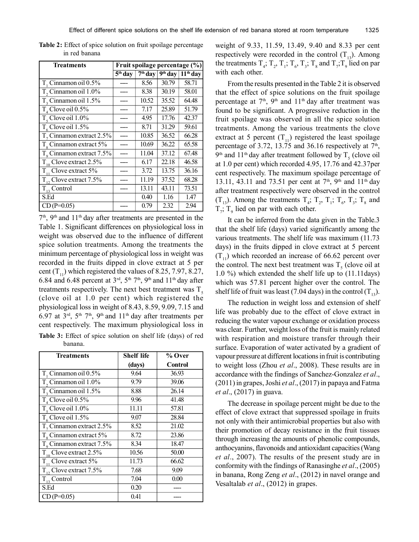| <b>Treatments</b>                           | Fruit spoilage percentage (%)  |                         |                         |            |
|---------------------------------------------|--------------------------------|-------------------------|-------------------------|------------|
|                                             | $\overline{5}^{\text{th}}$ day | $\overline{7^{th}}$ day | $\overline{9^{th}}$ day | $11th$ day |
| $T_{1}$ Cinnamon oil 0.5%                   |                                | 8.56                    | 30.79                   | 58.71      |
| T, Cinnamon oil 1.0%                        |                                | 8.38                    | 30.19                   | 58.01      |
| T, Cinnamon oil 1.5%                        |                                | 10.52                   | 35.52                   | 64.48      |
| $T_{A}$ Clove oil 0.5%                      |                                | 7.17                    | 25.89                   | 51.79      |
| $T_s$ Clove oil $1.0\%$                     |                                | 4.95                    | 17.76                   | 42.37      |
| $T_c$ Clove oil 1.5%                        |                                | 8.71                    | 31.29                   | 59.61      |
| T <sub>7</sub> Cinnamon extract 2.5%        |                                | 10.85                   | 36.52                   | 66.28      |
| $T_{\rm s}$ Cinnamon extract 5%             |                                | 10.69                   | 36.22                   | 65.58      |
| $T_{\rm o}$ Cinnamon extract 7.5%           |                                | 11.04                   | 37.12                   | 67.48      |
| $T_{10}$ Clove extract 2.5%                 |                                | 6.17                    | 22.18                   | 46.58      |
| $\mathbf{\bar{T}}_{11}$<br>Clove extract 5% |                                | 3.72                    | 13.75                   | 36.16      |
| $T_{12}$ Clove extract 7.5%                 |                                | 11.19                   | 37.52                   | 68.28      |
| $T_{13}$ Control                            |                                | 13.11                   | 43.11                   | 73.51      |
| S.Ed                                        |                                | 0.40                    | 1.16                    | 1.47       |
| $CD(P=0.05)$                                |                                | 0.79                    | 2.32                    | 2.94       |

**Table 2:** Effect of spice solution on fruit spoilage percentage in red banana

7 th, 9th and 11th day after treatments are presented in the Table 1. Significant differences on physiological loss in weight was observed due to the influence of different spice solution treatments. Among the treatments the minimum percentage of physiological loss in weight was recorded in the fruits dipped in clove extract at 5 per cent  $(T_{11})$  which registered the values of 8.25, 7.97, 8.27, 6.84 and 6.48 percent at  $3<sup>rd</sup>$ ,  $5<sup>th</sup>$ ,  $7<sup>th</sup>$ ,  $9<sup>th</sup>$  and  $11<sup>th</sup>$  day after treatments respectively. The next best treatment was  $T<sub>5</sub>$ (clove oil at 1.0 per cent) which registered the physiological loss in weight of 8.43, 8.59, 9.09, 7.15 and 6.97 at  $3<sup>rd</sup>$ ,  $5<sup>th</sup>$   $7<sup>th</sup>$ ,  $9<sup>th</sup>$  and  $11<sup>th</sup>$  day after treatments per cent respectively. The maximum physiological loss in **Table 3:** Effect of spice solution on shelf life (days) of red banana.

| <b>Treatments</b>                    | <b>Shelf life</b> | % Over         |
|--------------------------------------|-------------------|----------------|
|                                      | (days)            | <b>Control</b> |
| T. Cinnamon oil 0.5%                 | 9.64              | 36.93          |
| T <sub>2</sub> Cinnamon oil 1.0%     | 9.79              | 39.06          |
| T <sub>3</sub> Cinnamon oil 1.5%     | 8.88              | 26.14          |
| $T_{4}$ Clove oil $0.5\%$            | 9.96              | 41.48          |
| $Ts$ Clove oil 1.0%                  | 11.11             | 57.81          |
| $T_c$ Clove oil 1.5%                 | 9.07              | 28.84          |
| T <sub>r</sub> Cinnamon extract 2.5% | 8.52              | 21.02          |
| T <sub>s</sub> Cinnamon extract 5%   | 8.72              | 23.86          |
| $T9$ Cinnamon extract 7.5%           | 8.34              | 18.47          |
| $T_{10}$ Clove extract 2.5%          | 10.56             | 50.00          |
| $T_{11}$ Clove extract 5%            | 11.73             | 66.62          |
| $T_{12}$ Clove extract 7.5%          | 7.68              | 9.09           |
| $T_{13}$ Control                     | 7.04              | 0.00           |
| S.Ed                                 | 0.20              |                |
| $CD(P=0.05)$                         | 0.41              |                |

weight of 9.33, 11.59, 13.49, 9.40 and 8.33 per cent respectively were recorded in the control  $(T_{13})$ . Among the treatments  $T_4$ ;  $T_2$ ,  $T_1$ ;  $T_6$ ,  $T_3$ ;  $T_8$  and  $T_7$ ;  $T_9$  lied on par with each other.

From the results presented in the Table 2 it is observed that the effect of spice solutions on the fruit spoilage percentage at  $7<sup>th</sup>$ ,  $9<sup>th</sup>$  and  $11<sup>th</sup>$  day after treatment was found to be significant. A progressive reduction in the fruit spoilage was observed in all the spice solution treatments. Among the various treatments the clove extract at 5 percent  $(T_{11})$  registered the least spoilage percentage of 3.72, 13.75 and 36.16 respectively at  $7<sup>th</sup>$ , 9<sup>th</sup> and 11<sup>th</sup> day after treatment followed by T<sub>5</sub> (clove oil at 1.0 per cent) which recorded 4.95, 17.76 and 42.37per cent respectively. The maximum spoilage percentage of 13.11, 43.11 and 73.51 per cent at  $7<sup>th</sup>$ , 9<sup>th</sup> and 11<sup>th</sup> day after treatment respectively were observed in the control  $(T_{13})$ . Among the treatments  $T_4$ ;  $T_2$ ,  $T_1$ ;  $T_6$ ,  $T_3$ ;  $T_8$  and  $T_i$ ;  $T_9$  lied on par with each other.

It can be inferred from the data given in the Table.3 that the shelf life (days) varied significantly among the various treatments. The shelf life was maximum (11.73 days) in the fruits dipped in clove extract at 5 percent  $(T_{11})$  which recorded an increase of 66.62 percent over the control. The next best treatment was  $T<sub>5</sub>$  (clove oil at 1.0 %) which extended the shelf life up to (11.11days) which was 57.81 percent higher over the control. The shelf life of fruit was least (7.04 days) in the control  $(T_{12})$ .

The reduction in weight loss and extension of shelf life was probably due to the effect of clove extract in reducing the water vapour exchange or oxidation process was clear. Further, weight loss of the fruit is mainly related with respiration and moisture transfer through their surface. Evaporation of water activated by a gradient of vapour pressure at different locations in fruit is contributing to weight loss (Zhou *et al*., 2008). These results are in accordance with the findings of Sanchez-Gonzalez *et al*., (2011) in grapes, Joshi *et al*., (2017) in papaya and Fatma *et al*., (2017) in guava.

The decrease in spoilage percent might be due to the effect of clove extract that suppressed spoilage in fruits not only with their antimicrobial properties but also with their promotion of decay resistance in the fruit tissues through increasing the amounts of phenolic compounds, anthocyanins, flavonoids and antioxidant capacities (Wang *et al*., 2007). The results of the present study are in conformity with the findings of Ranasinghe *et al*., (2005) in banana, Rong Zeng *et al*., (2012) in navel orange and Vesaltalab *et al*., (2012) in grapes.